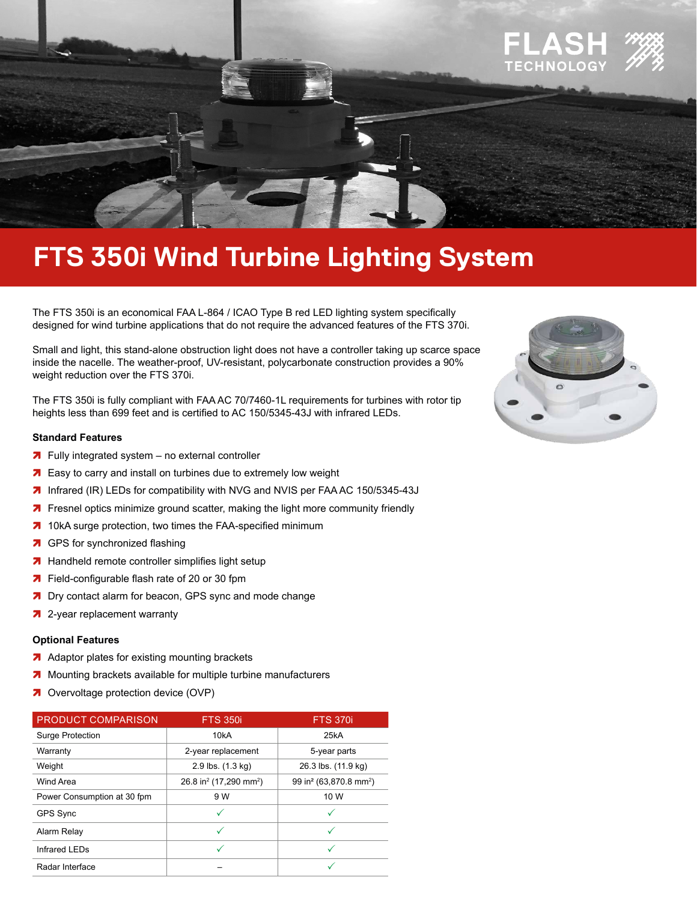

# **FTS 350i Wind Turbine Lighting System**

The FTS 350i is an economical FAA L-864 / ICAO Type B red LED lighting system specifically designed for wind turbine applications that do not require the advanced features of the FTS 370i.

Small and light, this stand-alone obstruction light does not have a controller taking up scarce space inside the nacelle. The weather-proof, UV-resistant, polycarbonate construction provides a 90% weight reduction over the FTS 370i.

The FTS 350i is fully compliant with FAA AC 70/7460-1L requirements for turbines with rotor tip heights less than 699 feet and is certified to AC 150/5345-43J with infrared LEDs.

#### **Standard Features**

- $\overline{\phantom{a}}$  Fully integrated system no external controller
- **7** Easy to carry and install on turbines due to extremely low weight
- **7** Infrared (IR) LEDs for compatibility with NVG and NVIS per FAA AC 150/5345-43J
- **7** Fresnel optics minimize ground scatter, making the light more community friendly
- **7** 10kA surge protection, two times the FAA-specified minimum
- **7** GPS for synchronized flashing
- **7** Handheld remote controller simplifies light setup
- **7** Field-configurable flash rate of 20 or 30 fpm
- **7** Dry contact alarm for beacon, GPS sync and mode change
- **7** 2-year replacement warranty

### **Optional Features**

- $\overline{\phantom{a}}$  Adaptor plates for existing mounting brackets
- **7** Mounting brackets available for multiple turbine manufacturers
- **7** Overvoltage protection device (OVP)

| <b>PRODUCT COMPARISON</b>   | <b>FTS 350i</b>                                | <b>FTS 370i</b>                                |  |
|-----------------------------|------------------------------------------------|------------------------------------------------|--|
| <b>Surge Protection</b>     | 10 <sub>k</sub> A                              | 25kA                                           |  |
| Warranty                    | 2-year replacement                             | 5-year parts                                   |  |
| Weight                      | 2.9 lbs. (1.3 kg)                              | 26.3 lbs. (11.9 kg)                            |  |
| Wind Area                   | 26.8 in <sup>2</sup> (17,290 mm <sup>2</sup> ) | 99 in <sup>2</sup> (63,870.8 mm <sup>2</sup> ) |  |
| Power Consumption at 30 fpm | 9 W                                            | 10 W                                           |  |
| <b>GPS Sync</b>             |                                                |                                                |  |
| Alarm Relay                 |                                                |                                                |  |
| Infrared LEDs               |                                                | ✓                                              |  |
| Radar Interface             |                                                |                                                |  |